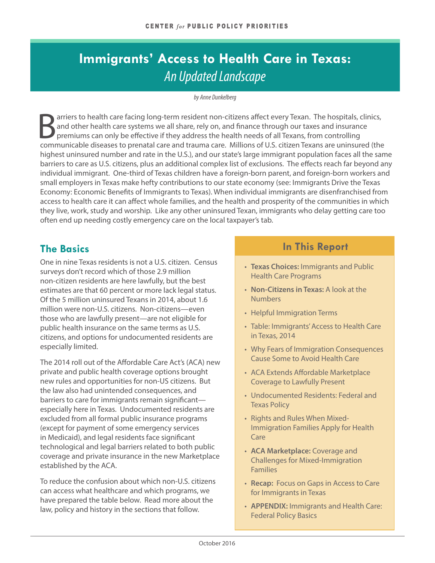## **Immigrants' Access to Health Care in Texas:** *An Updated Landscape*

#### *by Anne Dunkelberg*

arriers to health care facing long-term resident non-citizens affect every Texan. The hospitals, clinics, and other health care systems we all share, rely on, and finance through our taxes and insurance premiums can only be effective if they address the health needs of all Texans, from controlling communicable diseases to prenatal care and trauma care. Millions of U.S. citizen Texans are uninsured (the highest uninsured number and rate in the U.S.), and our state's large immigrant population faces all the same barriers to care as U.S. citizens, plus an additional complex list of exclusions. The effects reach far beyond any individual immigrant. One-third of Texas children have a foreign-born parent, and foreign-born workers and small employers in Texas make hefty contributions to our state economy (see: [Immigrants Drive the Texas](http://forabettertexas.org/images/EO_2014_09_PP_Immigration.pdf)  [Economy: Economic Benefits of Immigrants to Texas\)](http://forabettertexas.org/images/EO_2014_09_PP_Immigration.pdf). When individual immigrants are disenfranchised from access to health care it can affect whole families, and the health and prosperity of the communities in which they live, work, study and worship. Like any other uninsured Texan, immigrants who delay getting care too often end up needing costly emergency care on the local taxpayer's tab.

## **The Basics**

One in nine Texas residents is not a U.S. citizen. Census surveys don't record which of those 2.9 million non-citizen residents are here lawfully, but the best estimates are that 60 percent or more lack legal status. Of the 5 million uninsured Texans in 2014, about 1.6 million were non-U.S. citizens. Non-citizens—even those who are lawfully present—are not eligible for public health insurance on the same terms as U.S. citizens, and options for undocumented residents are especially limited.

The 2014 roll out of the Affordable Care Act's (ACA) new private and public health coverage options brought new rules and opportunities for non-US citizens. But the law also had unintended consequences, and barriers to care for immigrants remain significant especially here in Texas. Undocumented residents are excluded from all formal public insurance programs (except for payment of some emergency services in Medicaid), and legal residents face significant technological and legal barriers related to both public coverage and private insurance in the new Marketplace established by the ACA.

To reduce the confusion about which non-U.S. citizens can access what healthcare and which programs, we have prepared the table below. Read more about the law, policy and history in the sections that follow.

## **In This Report**

- **Texas Choices:** Immigrants and Public Health Care Programs
- **Non-Citizens in Texas:** A look at the Numbers
- Helpful Immigration Terms
- Table: Immigrants' Access to Health Care in Texas, 2014
- Why Fears of Immigration Consequences Cause Some to Avoid Health Care
- ACA Extends Affordable Marketplace Coverage to Lawfully Present
- Undocumented Residents: Federal and Texas Policy
- Rights and Rules When Mixed-Immigration Families Apply for Health Care
- **ACA Marketplace:** Coverage and Challenges for Mixed-Immigration Families
- **Recap:** Focus on Gaps in Access to Care for Immigrants in Texas
- **APPENDIX:** Immigrants and Health Care: Federal Policy Basics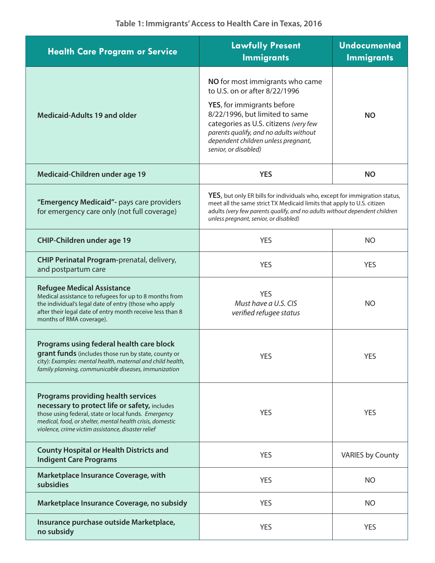| <b>Health Care Program or Service</b>                                                                                                                                                                                                                                 | <b>Lawfully Present</b><br><b>Immigrants</b>                                                                                                                                                                                                                                        | <b>Undocumented</b><br><b>Immigrants</b> |
|-----------------------------------------------------------------------------------------------------------------------------------------------------------------------------------------------------------------------------------------------------------------------|-------------------------------------------------------------------------------------------------------------------------------------------------------------------------------------------------------------------------------------------------------------------------------------|------------------------------------------|
| <b>Medicaid-Adults 19 and older</b>                                                                                                                                                                                                                                   | NO for most immigrants who came<br>to U.S. on or after 8/22/1996<br>YES, for immigrants before<br>8/22/1996, but limited to same<br>categories as U.S. citizens (very few<br>parents qualify, and no adults without<br>dependent children unless pregnant,<br>senior, or disabled)  | <b>NO</b>                                |
| Medicaid-Children under age 19                                                                                                                                                                                                                                        | <b>YES</b>                                                                                                                                                                                                                                                                          | <b>NO</b>                                |
| "Emergency Medicaid"- pays care providers<br>for emergency care only (not full coverage)                                                                                                                                                                              | <b>YES</b> , but only ER bills for individuals who, except for immigration status,<br>meet all the same strict TX Medicaid limits that apply to U.S. citizen<br>adults (very few parents qualify, and no adults without dependent children<br>unless pregnant, senior, or disabled) |                                          |
| <b>CHIP-Children under age 19</b>                                                                                                                                                                                                                                     | <b>YES</b>                                                                                                                                                                                                                                                                          | <b>NO</b>                                |
| CHIP Perinatal Program-prenatal, delivery,<br>and postpartum care                                                                                                                                                                                                     | <b>YES</b>                                                                                                                                                                                                                                                                          | <b>YES</b>                               |
| <b>Refugee Medical Assistance</b><br>Medical assistance to refugees for up to 8 months from<br>the individual's legal date of entry (those who apply<br>after their legal date of entry month receive less than 8<br>months of RMA coverage).                         | <b>YES</b><br>Must have a U.S. CIS<br>verified refugee status                                                                                                                                                                                                                       | <b>NO</b>                                |
| Programs using federal health care block<br>grant funds (includes those run by state, county or<br>city): Examples: mental health, maternal and child health,<br>family planning, communicable diseases, immunization                                                 | YES                                                                                                                                                                                                                                                                                 | YES                                      |
| <b>Programs providing health services</b><br>necessary to protect life or safety, includes<br>those using federal, state or local funds. Emergency<br>medical, food, or shelter, mental health crisis, domestic<br>violence, crime victim assistance, disaster relief | <b>YES</b>                                                                                                                                                                                                                                                                          | <b>YES</b>                               |
| <b>County Hospital or Health Districts and</b><br><b>Indigent Care Programs</b>                                                                                                                                                                                       | <b>YES</b>                                                                                                                                                                                                                                                                          | <b>VARIES by County</b>                  |
| Marketplace Insurance Coverage, with<br>subsidies                                                                                                                                                                                                                     | <b>YES</b>                                                                                                                                                                                                                                                                          | <b>NO</b>                                |
| Marketplace Insurance Coverage, no subsidy                                                                                                                                                                                                                            | <b>YES</b>                                                                                                                                                                                                                                                                          | <b>NO</b>                                |
| Insurance purchase outside Marketplace,<br>no subsidy                                                                                                                                                                                                                 | <b>YES</b>                                                                                                                                                                                                                                                                          | <b>YES</b>                               |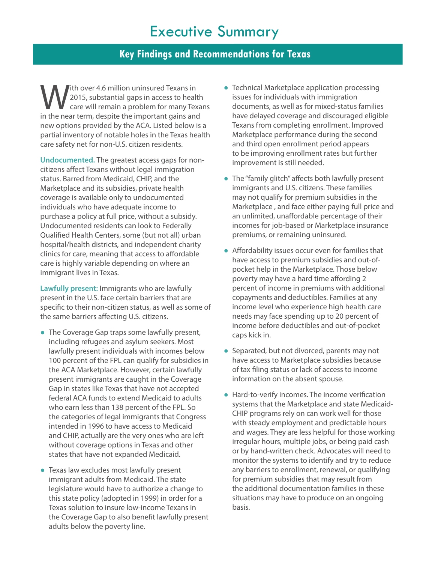# Executive Summary

## **Key Findings and Recommendations for Texas**

With over 4.6 million uninsured Texans in<br>2015, substantial gaps in access to healt<br>in the pear term despite the important gains and 2015, substantial gaps in access to health care will remain a problem for many Texans in the near term, despite the important gains and new options provided by the ACA. Listed below is a partial inventory of notable holes in the Texas health care safety net for non-U.S. citizen residents.

**Undocumented.** The greatest access gaps for noncitizens affect Texans without legal immigration status. Barred from Medicaid, CHIP, and the Marketplace and its subsidies, private health coverage is available only to undocumented individuals who have adequate income to purchase a policy at full price, without a subsidy. Undocumented residents can look to Federally Qualified Health Centers, some (but not all) urban hospital/health districts, and independent charity clinics for care, meaning that access to affordable care is highly variable depending on where an immigrant lives in Texas.

**Lawfully present:** Immigrants who are lawfully present in the U.S. face certain barriers that are specific to their non-citizen status, as well as some of the same barriers affecting U.S. citizens.

- The Coverage Gap traps some lawfully present, including refugees and asylum seekers. Most lawfully present individuals with incomes below 100 percent of the FPL can qualify for subsidies in the ACA Marketplace. However, certain lawfully present immigrants are caught in the Coverage Gap in states like Texas that have not accepted federal ACA funds to extend Medicaid to adults who earn less than 138 percent of the FPL. So the categories of legal immigrants that Congress intended in 1996 to have access to Medicaid and CHIP, actually are the very ones who are left without coverage options in Texas and other states that have not expanded Medicaid.
- Texas law excludes most lawfully present immigrant adults from Medicaid. The state legislature would have to authorize a change to this state policy (adopted in 1999) in order for a Texas solution to insure low-income Texans in the Coverage Gap to also benefit lawfully present adults below the poverty line.
- Technical Marketplace application processing issues for individuals with immigration documents, as well as for mixed-status families have delayed coverage and discouraged eligible Texans from completing enrollment. Improved Marketplace performance during the second and third open enrollment period appears to be improving enrollment rates but further improvement is still needed.
- The "family glitch" affects both lawfully present immigrants and U.S. citizens. These families may not qualify for premium subsidies in the Marketplace , and face either paying full price and an unlimited, unaffordable percentage of their incomes for job-based or Marketplace insurance premiums, or remaining uninsured.
- Affordability issues occur even for families that have access to premium subsidies and out-ofpocket help in the Marketplace. Those below poverty may have a hard time affording 2 percent of income in premiums with additional copayments and deductibles. Families at any income level who experience high health care needs may face spending up to 20 percent of income before deductibles and out-of-pocket caps kick in.
- Separated, but not divorced, parents may not have access to Marketplace subsidies because of tax filing status or lack of access to income information on the absent spouse.
- Hard-to-verify incomes. The income verification systems that the Marketplace and state Medicaid-CHIP programs rely on can work well for those with steady employment and predictable hours and wages. They are less helpful for those working irregular hours, multiple jobs, or being paid cash or by hand-written check. Advocates will need to monitor the systems to identify and try to reduce any barriers to enrollment, renewal, or qualifying for premium subsidies that may result from the additional documentation families in these situations may have to produce on an ongoing basis.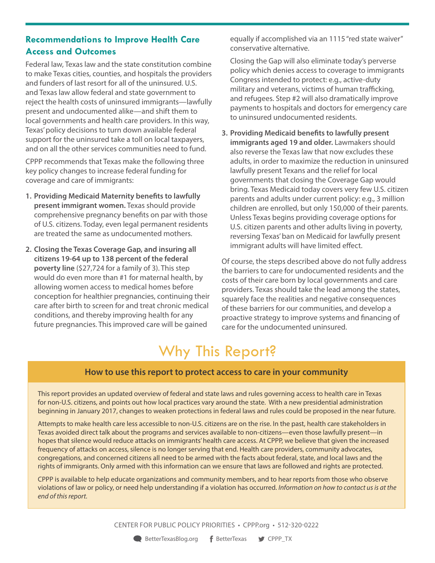## **Recommendations to Improve Health Care Access and Outcomes**

Federal law, Texas law and the state constitution combine to make Texas cities, counties, and hospitals the providers and funders of last resort for all of the uninsured. U.S. and Texas law allow federal and state government to reject the health costs of uninsured immigrants—lawfully present and undocumented alike—and shift them to local governments and health care providers. In this way, Texas' policy decisions to turn down available federal support for the uninsured take a toll on local taxpayers, and on all the other services communities need to fund.

CPPP recommends that Texas make the following three key policy changes to increase federal funding for coverage and care of immigrants:

- **1. Providing Medicaid Maternity benefits to lawfully present immigrant women.** Texas should provide comprehensive pregnancy benefits on par with those of U.S. citizens. Today, even legal permanent residents are treated the same as undocumented mothers.
- **2. Closing the Texas Coverage Gap, and insuring all citizens 19-64 up to 138 percent of the federal poverty line** (\$27,724 for a family of 3). This step would do even more than #1 for maternal health, by allowing women access to medical homes before conception for healthier pregnancies, continuing their care after birth to screen for and treat chronic medical conditions, and thereby improving health for any future pregnancies. This improved care will be gained

equally if accomplished via an [1115 "red state waiver"](http://www.commonwealthfund.org/publications/issue-briefs/2016/may/how-will-section-1115-medicaid-expansion-demonstrations-inform-federal-policy) conservative alternative.

Closing the Gap will also eliminate today's perverse policy which denies access to coverage to immigrants Congress intended to protect: e.g., active-duty military and veterans, victims of human trafficking, and refugees. Step #2 will also dramatically improve payments to hospitals and doctors for emergency care to uninsured undocumented residents.

**3. Providing Medicaid benefits to lawfully present immigrants aged 19 and older.** Lawmakers should also reverse the Texas law that now excludes these adults, in order to maximize the reduction in uninsured lawfully present Texans and the relief for local governments that closing the Coverage Gap would bring. Texas Medicaid today covers very few U.S. citizen parents and adults under current policy: e.g., 3 million children are enrolled, but only 150,000 of their parents. Unless Texas begins providing coverage options for U.S. citizen parents and other adults living in poverty, reversing Texas' ban on Medicaid for lawfully present immigrant adults will have limited effect.

Of course, the steps described above do not fully address the barriers to care for undocumented residents and the costs of their care born by local governments and care providers. Texas should take the lead among the states, squarely face the realities and negative consequences of these barriers for our communities, and develop a proactive strategy to improve systems and financing of care for the undocumented uninsured.

# Why This Report?

## **How to use this report to protect access to care in your community**

This report provides an updated overview of federal and state laws and rules governing access to health care in Texas for non-U.S. citizens, and points out how local practices vary around the state. With a new presidential administration beginning in January 2017, changes to weaken protections in federal laws and rules could be proposed in the near future.

Attempts to make health care less accessible to non-U.S. citizens are on the rise. In the past, health care stakeholders in Texas avoided direct talk about the programs and services available to non-citizens—even those lawfully present—in hopes that silence would reduce attacks on immigrants' health care access. At CPPP, we believe that given the increased frequency of attacks on access, silence is no longer serving that end. Health care providers, community advocates, congregations, and concerned citizens all need to be armed with the facts about federal, state, and local laws and the rights of immigrants. Only armed with this information can we ensure that laws are followed and rights are protected.

CPPP is available to help educate organizations and community members, and to hear reports from those who observe violations of law or policy, or need help understanding if a violation has occurred. *Information on how to contact us is at the end of this report.*

CENTER FOR PUBLIC POLICY PRIORITIES • CPPP.org • 512-320-0222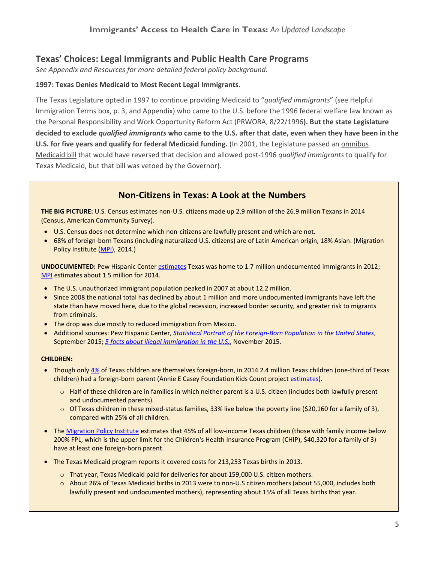#### **Texas' Choices: Legal Immigrants and Public Health Care Programs**

*See Appendix and Resources for more detailed federal policy background.*

#### **1997: Texas Denies Medicaid to Most Recent Legal Immigrants.**

The Texas Legislature opted in 1997 to continue providing Medicaid to "*qualified immigrants*" (see Helpful Immigration Terms box, p. 3, and Appendix) who came to the U.S. before the 1996 federal welfare law known as the Personal Responsibility and Work Opportunity Reform Act (PRWORA, 8/22/1996**). But the state Legislature decided to exclude** *qualified immigrants* **who came to the U.S. after that date, even when they have been in the U.S. for five years and qualify for federal Medicaid funding.** (In 2001, the Legislature passed an [omnibus](http://library.cppp.org/research.php?aid=175&cid=3&scid=4)  [Medicaid bill](http://library.cppp.org/research.php?aid=175&cid=3&scid=4) that would have reversed that decision and allowed post-1996 *qualified immigrants* to qualify for Texas Medicaid, but that bill was vetoed by the Governor).

## **Non-Citizens in Texas: A Look at the Numbers**

**THE BIG PICTURE:** U.S. Census estimates non-U.S. citizens made up 2.9 million of the 26.9 million Texans in 2014 (Census, American Community Survey).

- U.S. Census does not determine which non-citizens are lawfully present and which are not.
- 68% of foreign-born Texans (including naturalized U.S. citizens) are of Latin American origin, 18% Asian. (Migration Policy Institute [\(MPI\)](http://www.migrationpolicy.org/data/state-profiles/state/demographics/TX), 2014.)

**UNDOCUMENTED:** Pew Hispanic Center [estimates](http://www.pewhispanic.org/2014/12/11/unauthorized-trends/) Texas was home to 1.7 million undocumented immigrants in 2012; [MPI](http://www.migrationpolicy.org/data/unauthorized-immigrant-population/state/TX) estimates about 1.5 million for 2014.

- The U.S. unauthorized immigrant population peaked in 2007 at about 12.2 million.
- Since 2008 the national total has declined by about 1 million and more undocumented immigrants have left the state than have moved here, due to the global recession, increased border security, and greater risk to migrants from criminals.
- The drop was due mostly to reduced immigration from Mexico.
- Additional sources: Pew Hispanic Center, *[Statistical Portrait of the Foreign-Born Population in the United States](http://www.pewhispanic.org/2015/09/28/statistical-portrait-of-the-foreign-born-population-in-the-united-states-1960-2013-key-charts/)*, September 2015; *[5 facts about illegal immigration in the U.S.](http://www.pewresearch.org/fact-tank/2015/11/19/5-facts-about-illegal-immigration-in-the-u-s/)*, November 2015.

#### **CHILDREN:**

- Though only [4%](http://datacenter.kidscount.org/data/tables/116-child-population-by-nativity?loc=45&loct=2#detailed/2/45/false/869,36,868,867,133/76,77/447,448) of Texas children are themselves foreign-born, in 2014 2.4 million Texas children (one-third of Texas children) had a foreign-born parent (Annie E Casey Foundation Kids Count project [estimates\)](http://datacenter.kidscount.org/search/#/more/indicators/immigrant).
	- $\circ$  Half of these children are in families in which neither parent is a U.S. citizen (includes both lawfully present and undocumented parents).
	- $\circ$  Of Texas children in these mixed-status families, 33% live below the poverty line (\$20,160 for a family of 3), compared with 25% of all children.
- The [Migration Policy Institute](http://www.migrationpolicy.org/data/state-profiles/state/demographics/TX) estimates that 45% of all low-income Texas children (those with family income below 200% FPL, which is the upper limit for the Children's Health Insurance Program (CHIP), \$40,320 for a family of 3) have at least one foreign-born parent.
- The Texas Medicaid program reports it covered costs for 213,253 Texas births in 2013.
	- o That year, Texas Medicaid paid for deliveries for about 159,000 U.S. citizen mothers.
	- o About 26% of Texas Medicaid births in 2013 were to non-U.S citizen mothers (about 55,000, includes both lawfully present and undocumented mothers), representing about 15% of all Texas births that year.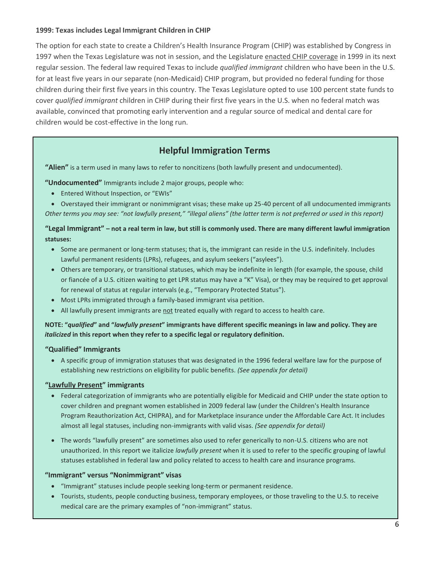#### **1999: Texas includes Legal Immigrant Children in CHIP**

The option for each state to create a Children's Health Insurance Program (CHIP) was established by Congress in 1997 when the Texas Legislature was not in session, and the Legislature [enacted CHIP coverage](http://library.cppp.org/research.php?aid=224&cid=3&scid=4) in 1999 in its next regular session. The federal law required Texas to include *qualified immigrant* children who have been in the U.S. for at least five years in our separate (non-Medicaid) CHIP program, but provided no federal funding for those children during their first five years in this country. The Texas Legislature opted to use 100 percent state funds to cover *qualified immigrant* children in CHIP during their first five years in the U.S. when no federal match was available, convinced that promoting early intervention and a regular source of medical and dental care for children would be cost-effective in the long run.

## **Helpful Immigration Terms**

**"Alien"** is a term used in many laws to refer to noncitizens (both lawfully present and undocumented).

**"Undocumented"** Immigrants include 2 major groups, people who:

Entered Without Inspection, or "EWIs"

 Overstayed their immigrant or nonimmigrant visas; these make up 25-40 percent of all undocumented immigrants *Other terms you may see: "not lawfully present," "illegal aliens" (the latter term is not preferred or used in this report)* 

#### **"Legal Immigrant" – not a real term in law, but still is commonly used. There are many different lawful immigration statuses:**

- Some are permanent or long-term statuses; that is, the immigrant can reside in the U.S. indefinitely. Includes Lawful permanent residents (LPRs), refugees, and asylum seekers ("asylees").
- Others are temporary, or transitional statuses, which may be indefinite in length (for example, the spouse, child or fiancée of a U.S. citizen waiting to get LPR status may have a "K" Visa), or they may be required to get approval for renewal of status at regular intervals (e.g., "Temporary Protected Status").
- Most LPRs immigrated through a family-based immigrant visa petition.
- All lawfully present immigrants are not treated equally with regard to access to health care.

**NOTE: "***qualified***" and "***lawfully present***" immigrants have different specific meanings in law and policy. They are**  *italicized* **in this report when they refer to a specific legal or regulatory definition.**

#### **"Qualified" Immigrants**

 A specific group of immigration statuses that was designated in the 1996 federal welfare law for the purpose of establishing new restrictions on eligibility for public benefits. *(See appendix for detail)*

#### **"[Lawfully Present](http://www.nilc.org/lawfullyresiding.html)" immigrants**

- Federal categorization of immigrants who are potentially eligible for Medicaid and CHIP under the state option to cover children and pregnant women established in 2009 federal law (under the Children's Health Insurance Program Reauthorization Act, CHIPRA), and for Marketplace insurance under the Affordable Care Act. It includes almost all legal statuses, including non-immigrants with valid visas. *(See appendix for detail)*
- The words "lawfully present" are sometimes also used to refer generically to non-U.S. citizens who are not unauthorized. In this report we italicize *lawfully present* when it is used to refer to the specific grouping of lawful statuses established in federal law and policy related to access to health care and insurance programs.

#### **"Immigrant" versus "Nonimmigrant" visas**

- "Immigrant" statuses include people seeking long-term or permanent residence.
- Tourists, students, people conducting business, temporary employees, or those traveling to the U.S. to receive medical care are the primary examples of "non-immigrant" status.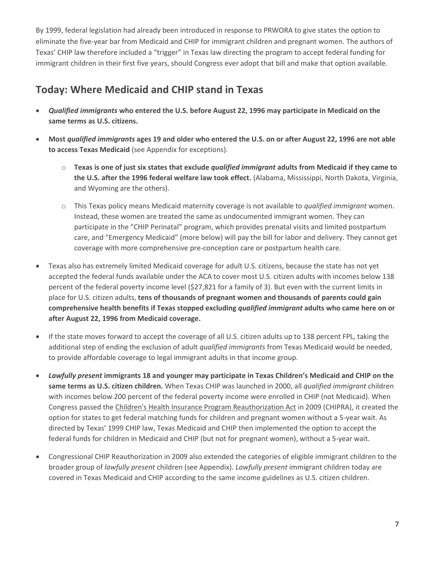By 1999, federal legislation had already been introduced in response to PRWORA to give states the option to eliminate the five-year bar from Medicaid and CHIP for immigrant children and pregnant women. The authors of Texas' CHIP law therefore included a "trigger" in Texas law directing the program to accept federal funding for immigrant children in their first five years, should Congress ever adopt that bill and make that option available.

## **Today: Where Medicaid and CHIP stand in Texas**

- *Qualified immigrants* **who entered the U.S. before August 22, 1996 may participate in Medicaid on the same terms as U.S. citizens.**
- **Most** *qualified immigrants* **ages 19 and older who entered the U.S. on or after August 22, 1996 are not able to access Texas Medicaid** (see Appendix for exceptions).
	- o **Texas is one of just six states that exclude** *qualified immigrant* **adults from Medicaid if they came to the U.S. after the 1996 federal welfare law took effect.** (Alabama, Mississippi, North Dakota, Virginia, and Wyoming are the others).
	- o This Texas policy means Medicaid maternity coverage is not available to *qualified immigrant* women. Instead, these women are treated the same as undocumented immigrant women. They can participate in the "CHIP Perinatal" program, which provides prenatal visits and limited postpartum care, and "Emergency Medicaid" (more below) will pay the bill for labor and delivery. They cannot get coverage with more comprehensive pre-conception care or postpartum health care.
- Texas also has extremely limited Medicaid coverage for adult U.S. citizens, because the state has not yet accepted the federal funds available under the ACA to cover most U.S. citizen adults with incomes below 138 percent of the federal poverty income level (\$27,821 for a family of 3). But even with the current limits in place for U.S. citizen adults, **tens of thousands of pregnant women and thousands of parents could gain comprehensive health benefits if Texas stopped excluding** *qualified immigrant* **adults who came here on or after August 22, 1996 from Medicaid coverage.**
- If the state moves forward to accept the coverage of all U.S. citizen adults up to 138 percent FPL, taking the additional step of ending the exclusion of adult *qualified immigrants* from Texas Medicaid would be needed, to provide affordable coverage to legal immigrant adults in that income group.
- *Lawfully present* **immigrants 18 and younger may participate in Texas Children's Medicaid and CHIP on the same terms as U.S. citizen children.** When Texas CHIP was launched in 2000, all *qualified immigrant* children with incomes below 200 percent of the federal poverty income were enrolled in CHIP (not Medicaid). When Congress passed the Children's Health Insurance Program Reauthorization Act in 2009 (CHIPRA), it created the option for states to get federal matching funds for children and pregnant women without a 5-year wait. As directed by Texas' 1999 CHIP law, Texas Medicaid and CHIP then implemented the option to accept the federal funds for children in Medicaid and CHIP (but not for pregnant women), without a 5-year wait.
- Congressional CHIP Reauthorization in 2009 also extended the categories of eligible immigrant children to the broader group of *lawfully present* children (see Appendix). *Lawfully present* immigrant children today are covered in Texas Medicaid and CHIP according to the same income guidelines as U.S. citizen children.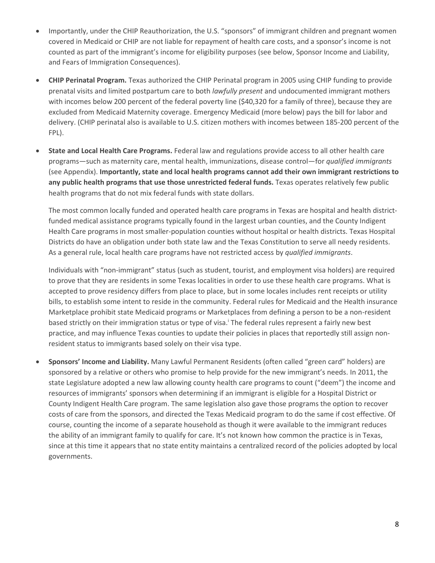- Importantly, under the CHIP Reauthorization, the U.S. "sponsors" of immigrant children and pregnant women covered in Medicaid or CHIP are not liable for repayment of health care costs, and a sponsor's income is not counted as part of the immigrant's income for eligibility purposes (see below, Sponsor Income and Liability, and Fears of Immigration Consequences).
- **CHIP Perinatal Program.** Texas authorized the CHIP Perinatal program in 2005 using CHIP funding to provide prenatal visits and limited postpartum care to both *lawfully present* and undocumented immigrant mothers with incomes below 200 percent of the federal poverty line (\$40,320 for a family of three), because they are excluded from Medicaid Maternity coverage. Emergency Medicaid (more below) pays the bill for labor and delivery. (CHIP perinatal also is available to U.S. citizen mothers with incomes between 185-200 percent of the FPL).
- **State and Local Health Care Programs.** Federal law and regulations provide access to all other health care programs—such as maternity care, mental health, immunizations, disease control—for *qualified immigrants* (see Appendix). **Importantly, state and local health programs cannot add their own immigrant restrictions to any public health programs that use those unrestricted federal funds.** Texas operates relatively few public health programs that do not mix federal funds with state dollars.

The most common locally funded and operated health care programs in Texas are hospital and health districtfunded medical assistance programs typically found in the largest urban counties, and the County Indigent Health Care programs in most smaller-population counties without hospital or health districts. Texas Hospital Districts do have an obligation under both state law and the Texas Constitution to serve all needy residents. As a general rule, local health care programs have not restricted access by *qualified immigrants*.

Individuals with "non-immigrant" status (such as student, tourist, and employment visa holders) are required to prove that they are residents in some Texas localities in order to use these health care programs. What is accepted to prove residency differs from place to place, but in some locales includes rent receipts or utility bills, to establish some intent to reside in the community. Federal rules for Medicaid and the Health insurance Marketplace prohibit state Medicaid programs or Marketplaces from defining a person to be a non-resident based strictly on their immigration status or type of visa.<sup>i</sup> The federal rules represent a fairly new best practice, and may influence Texas counties to update their policies in places that reportedly still assign nonresident status to immigrants based solely on their visa type.

 **Sponsors' Income and Liability.** Many Lawful Permanent Residents (often called "green card" holders) are sponsored by a relative or others who promise to help provide for the new immigrant's needs. In 2011, the state Legislature adopted a new law allowing county health care programs to count ("deem") the income and resources of immigrants' sponsors when determining if an immigrant is eligible for a Hospital District or County Indigent Health Care program. The same legislation also gave those programs the option to recover costs of care from the sponsors, and directed the Texas Medicaid program to do the same if cost effective. Of course, counting the income of a separate household as though it were available to the immigrant reduces the ability of an immigrant family to qualify for care. It's not known how common the practice is in Texas, since at this time it appears that no state entity maintains a centralized record of the policies adopted by local governments.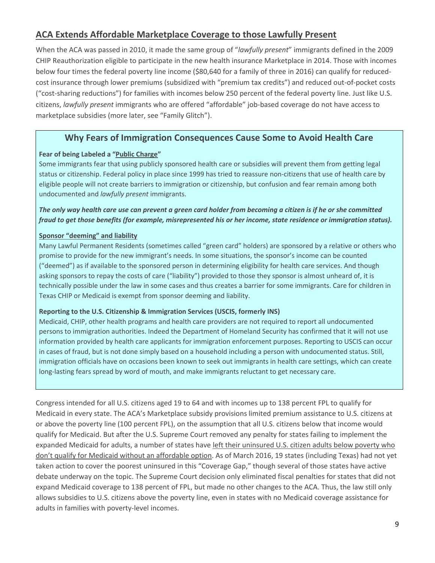## **ACA Extends Affordable Marketplace Coverage to those Lawfully Present**

When the ACA was passed in 2010, it made the same group of "*lawfully present*" immigrants defined in the 2009 CHIP Reauthorization eligible to participate in the new health insurance Marketplace in 2014. Those with incomes below four times the federal poverty line income (\$80,640 for a family of three in 2016) can qualify for reducedcost insurance through lower premiums (subsidized with "premium tax credits") and reduced out-of-pocket costs ("cost-sharing reductions") for families with incomes below 250 percent of the federal poverty line. Just like U.S. citizens, *lawfully present* immigrants who are offered "affordable" job-based coverage do not have access to marketplace subsidies (more later, see "Family Glitch").

## **Why Fears of Immigration Consequences Cause Some to Avoid Health Care**

#### **Fear of being Labeled a "[Public Charge](http://www.ice.gov/doclib/ero-outreach/pdf/ice-aca-memo.pdf)"**

Some immigrants fear that using publicly sponsored health care or subsidies will prevent them from getting legal status or citizenship. Federal policy in place since 1999 has tried to reassure non-citizens that use of health care by eligible people will not create barriers to immigration or citizenship, but confusion and fear remain among both undocumented and *lawfully present* immigrants.

#### *The only way health care use can prevent a green card holder from becoming a citizen is if he or she committed fraud to get those benefits (for example, misrepresented his or her income, state residence or immigration status).*

#### **[Sponsor "deeming" and liability](http://www.nilc.org/sponsoredimms&bens-na-2009-08.html)**

Many Lawful Permanent Residents (sometimes called "green card" holders) are sponsored by a relative or others who promise to provide for the new immigrant's needs. In some situations, the sponsor's income can be counted ("deemed") as if available to the sponsored person in determining eligibility for health care services. And though asking sponsors to repay the costs of care ("liability") provided to those they sponsor is almost unheard of, it is technically possible under the law in some cases and thus creates a barrier for some immigrants. Care for children in Texas CHIP or Medicaid is exempt from sponsor deeming and liability.

#### **Reporting to the U.S. Citizenship & Immigration Services (USCIS, formerly INS)**

Medicaid, CHIP, other health programs and health care providers are not required to report all undocumented persons to immigration authorities. Indeed the Department of Homeland Security has confirmed that it will not use information provided by health care applicants for immigration enforcement purposes. Reporting to USCIS can occur in cases of fraud, but is not done simply based on a household including a person with undocumented status. Still, immigration officials have on occasions been known to seek out immigrants in health care settings, which can create long-lasting fears spread by word of mouth, and make immigrants reluctant to get necessary care.

Congress intended for all U.S. citizens aged 19 to 64 and with incomes up to 138 percent FPL to qualify for Medicaid in every state. The ACA's Marketplace subsidy provisions limited premium assistance to U.S. citizens at or above the poverty line (100 percent FPL), on the assumption that all U.S. citizens below that income would qualify for Medicaid. But after the U.S. Supreme Court removed any penalty for states failing to implement the expanded Medicaid for adults, a number of states have left their uninsured [U.S. citizen adults below poverty who](http://kff.org/health-reform/state-indicator/state-activity-around-expanding-medicaid-under-the-affordable-care-act/)  don't qualify for Medicaid [without an affordable option.](http://kff.org/health-reform/state-indicator/state-activity-around-expanding-medicaid-under-the-affordable-care-act/) As of March 2016, 19 states (including Texas) had not yet taken action to cover the poorest uninsured in this "Coverage Gap," though several of those states have active debate underway on the topic. The Supreme Court decision only eliminated fiscal penalties for states that did not expand Medicaid coverage to 138 percent of FPL, but made no other changes to the ACA. Thus, the law still only allows subsidies to U.S. citizens above the poverty line, even in states with no Medicaid coverage assistance for adults in families with poverty-level incomes.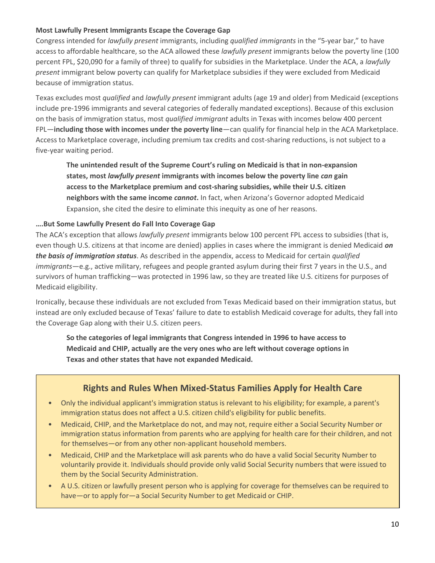#### **Most Lawfully Present Immigrants Escape the Coverage Gap**

Congress intended for *lawfully present* immigrants, including *qualified immigrants* in the "5-year bar," to have access to affordable healthcare, so the ACA allowed these *lawfully present* immigrants below the poverty line (100 percent FPL, \$20,090 for a family of three) to qualify for subsidies in the Marketplace. Under the ACA, a *lawfully present* immigrant below poverty can qualify for Marketplace subsidies if they were excluded from Medicaid because of immigration status.

Texas excludes most *qualified* and *lawfully present* immigrant adults (age 19 and older) from Medicaid (exceptions include pre-1996 immigrants and several categories of federally mandated exceptions). Because of this exclusion on the basis of immigration status, most *qualified immigrant* adults in Texas with incomes below 400 percent FPL—**including those with incomes under the poverty line**—can qualify for financial help in the ACA Marketplace. Access to Marketplace coverage, including premium tax credits and cost-sharing reductions, is not subject to a five-year waiting period.

**The unintended result of the Supreme Court's ruling on Medicaid is that in non-expansion states, most** *lawfully present* **immigrants with incomes below the poverty line** *can* **gain access to the Marketplace premium and cost-sharing subsidies, while their U.S. citizen neighbors with the same income** *cannot***.** In fact, when Arizona's Governor adopted Medicaid Expansion, she cited the desire to eliminate this inequity as one of her reasons.

#### **….But Some Lawfully Present do Fall Into Coverage Gap**

The ACA's exception that allows *lawfully present* immigrants below 100 percent FPL access to subsidies (that is, even though U.S. citizens at that income are denied) applies in cases where the immigrant is denied Medicaid *on the basis of immigration status*. As described in the appendix, access to Medicaid for certain *qualified immigrants*—e.g., active military, refugees and people granted asylum during their first 7 years in the U.S., and survivors of human trafficking—was protected in 1996 law, so they are treated like U.S. citizens for purposes of Medicaid eligibility.

Ironically, because these individuals are not excluded from Texas Medicaid based on their immigration status, but instead are only excluded because of Texas' failure to date to establish Medicaid coverage for adults, they fall into the Coverage Gap along with their U.S. citizen peers.

**So the categories of legal immigrants that Congress intended in 1996 to have access to Medicaid and CHIP, actually are the very ones who are left without coverage options in Texas and other states that have not expanded Medicaid.** 

## **Rights and Rules When Mixed-Status Families Apply for Health Care**

- Only the individual applicant's immigration status is relevant to his eligibility; for example, a parent's immigration status does not affect a U.S. citizen child's eligibility for public benefits.
- Medicaid, CHIP, and the Marketplace do not, and may not, require either a Social Security Number or immigration status information from parents who are applying for health care for their children, and not for themselves—or from any other non-applicant household members.
- Medicaid, CHIP and the Marketplace will ask parents who do have a valid Social Security Number to voluntarily provide it. Individuals should provide only valid Social Security numbers that were issued to them by the Social Security Administration.
- A U.S. citizen or lawfully present person who is applying for coverage for themselves can be required to have—or to apply for—a Social Security Number to get Medicaid or CHIP.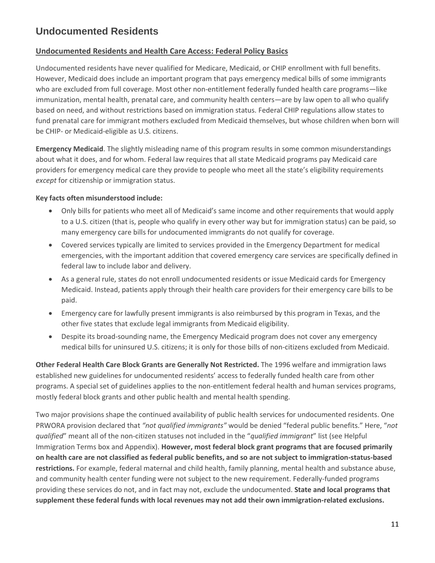## **Undocumented Residents**

#### **Undocumented Residents and Health Care Access: Federal Policy Basics**

Undocumented residents have never qualified for Medicare, Medicaid, or CHIP enrollment with full benefits. However, Medicaid does include an important program that pays emergency medical bills of some immigrants who are excluded from full coverage. Most other non-entitlement federally funded health care programs—like immunization, mental health, prenatal care, and community health centers—are by law open to all who qualify based on need, and without restrictions based on immigration status. Federal CHIP regulations allow states to fund prenatal care for immigrant mothers excluded from Medicaid themselves, but whose children when born will be CHIP- or Medicaid-eligible as U.S. citizens.

**Emergency Medicaid**. The slightly misleading name of this program results in some common misunderstandings about what it does, and for whom. Federal law requires that all state Medicaid programs pay Medicaid care providers for emergency medical care they provide to people who meet all the state's eligibility requirements *except* for citizenship or immigration status.

#### **Key facts often misunderstood include:**

- Only bills for patients who meet all of Medicaid's same income and other requirements that would apply to a U.S. citizen (that is, people who qualify in every other way but for immigration status) can be paid, so many emergency care bills for undocumented immigrants do not qualify for coverage.
- Covered services typically are limited to services provided in the Emergency Department for medical emergencies, with the important addition that covered emergency care services are specifically defined in federal law to include labor and delivery.
- As a general rule, states do not enroll undocumented residents or issue Medicaid cards for Emergency Medicaid. Instead, patients apply through their health care providers for their emergency care bills to be paid.
- Emergency care for lawfully present immigrants is also reimbursed by this program in Texas, and the other five states that exclude legal immigrants from Medicaid eligibility.
- Despite its broad-sounding name, the Emergency Medicaid program does not cover any emergency medical bills for uninsured U.S. citizens; it is only for those bills of non-citizens excluded from Medicaid.

**Other Federal Health Care Block Grants are Generally Not Restricted.** The 1996 welfare and immigration laws established new guidelines for undocumented residents' access to federally funded health care from other programs. A special set of guidelines applies to the non-entitlement federal health and human services programs, mostly federal block grants and other public health and mental health spending.

Two major provisions shape the continued availability of public health services for undocumented residents. One PRWORA provision declared that *"not qualified immigrants"* would be denied "federal public benefits." Here, "*not qualified*" meant all of the non-citizen statuses not included in the "*qualified immigrant*" list (see Helpful Immigration Terms box and Appendix). **However, most federal block grant programs that are focused primarily on health care are not classified as federal public benefits, and so are not subject to immigration-status-based restrictions.** For example, federal maternal and child health, family planning, mental health and substance abuse, and community health center funding were not subject to the new requirement. Federally-funded programs providing these services do not, and in fact may not, exclude the undocumented. **State and local programs that supplement these federal funds with local revenues may not add their own immigration-related exclusions.**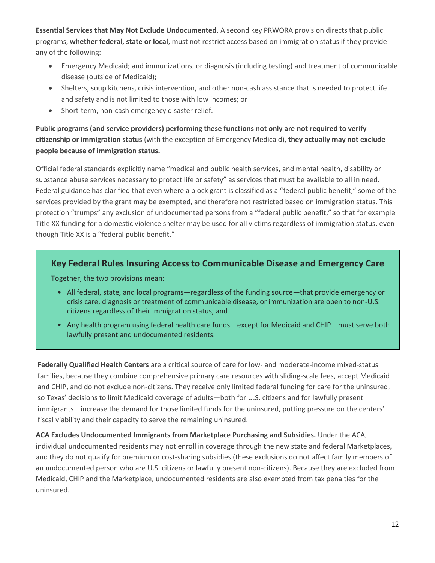**Essential Services that May Not Exclude Undocumented.** A second key PRWORA provision directs that public programs, **whether federal, state or local**, must not restrict access based on immigration status if they provide any of the following:

- Emergency Medicaid; and immunizations, or diagnosis (including testing) and treatment of communicable disease (outside of Medicaid);
- Shelters, soup kitchens, crisis intervention, and other non-cash assistance that is needed to protect life and safety and is not limited to those with low incomes; or
- Short-term, non-cash emergency disaster relief.

**Public programs (and service providers) performing these functions not only are not required to verify citizenship or immigration status** (with the exception of Emergency Medicaid), **they actually may not exclude people because of immigration status.**

Official federal standards explicitly name "medical and public health services, and mental health, disability or substance abuse services necessary to protect life or safety" as services that must be available to all in need. Federal guidance has clarified that even where a block grant is classified as a "federal public benefit," some of the services provided by the grant may be exempted, and therefore not restricted based on immigration status. This protection "trumps" any exclusion of undocumented persons from a "federal public benefit," so that for example Title XX funding for a domestic violence shelter may be used for all victims regardless of immigration status, even though Title XX is a "federal public benefit."

## **Key Federal Rules Insuring Access to Communicable Disease and Emergency Care**

Together, the two provisions mean:

- All federal, state, and local programs—regardless of the funding source—that provide emergency or crisis care, diagnosis or treatment of communicable disease, or immunization are open to non-U.S. citizens regardless of their immigration status; and
- Any health program using federal health care funds—except for Medicaid and CHIP—must serve both lawfully present and undocumented residents.

**Federally Qualified Health Centers** are a critical source of care for low- and moderate-income mixed-status families, because they combine comprehensive primary care resources with sliding-scale fees, accept Medicaid and CHIP, and do not exclude non-citizens. They receive only limited federal funding for care for the uninsured, so Texas' decisions to limit Medicaid coverage of adults—both for U.S. citizens and for lawfully present immigrants—increase the demand for those limited funds for the uninsured, putting pressure on the centers' fiscal viability and their capacity to serve the remaining uninsured.

**ACA Excludes Undocumented Immigrants from Marketplace Purchasing and Subsidies.** Under the ACA, individual undocumented residents may not enroll in coverage through the new state and federal Marketplaces, and they do not qualify for premium or cost-sharing subsidies (these exclusions do not affect family members of an undocumented person who are U.S. citizens or lawfully present non-citizens). Because they are excluded from Medicaid, CHIP and the Marketplace, undocumented residents are also exempted from tax penalties for the uninsured.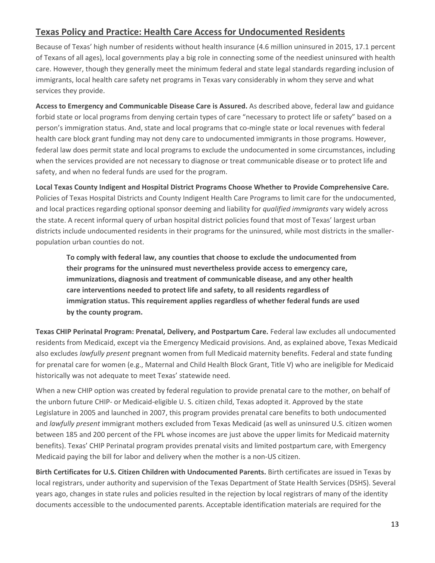## **Texas Policy and Practice: Health Care Access for Undocumented Residents**

Because of Texas' high number of residents without health insurance (4.6 million uninsured in 2015, 17.1 percent of Texans of all ages), local governments play a big role in connecting some of the neediest uninsured with health care. However, though they generally meet the minimum federal and state legal standards regarding inclusion of immigrants, local health care safety net programs in Texas vary considerably in whom they serve and what services they provide.

**Access to Emergency and Communicable Disease Care is Assured.** As described above, federal law and guidance forbid state or local programs from denying certain types of care "necessary to protect life or safety" based on a person's immigration status. And, state and local programs that co-mingle state or local revenues with federal health care block grant funding may not deny care to undocumented immigrants in those programs. However, federal law does permit state and local programs to exclude the undocumented in some circumstances, including when the services provided are not necessary to diagnose or treat communicable disease or to protect life and safety, and when no federal funds are used for the program.

**Local Texas County Indigent and Hospital District Programs Choose Whether to Provide Comprehensive Care.** Policies of Texas Hospital Districts and County Indigent Health Care Programs to limit care for the undocumented, and local practices regarding optional sponsor deeming and liability for *qualified immigrants* vary widely across the state. A recent informal query of urban hospital district policies found that most of Texas' largest urban districts include undocumented residents in their programs for the uninsured, while most districts in the smallerpopulation urban counties do not.

**To comply with federal law, any counties that choose to exclude the undocumented from their programs for the uninsured must nevertheless provide access to emergency care, immunizations, diagnosis and treatment of communicable disease, and any other health care interventions needed to protect life and safety, to all residents regardless of immigration status. This requirement applies regardless of whether federal funds are used by the county program.**

**Texas CHIP Perinatal Program: Prenatal, Delivery, and Postpartum Care.** Federal law excludes all undocumented residents from Medicaid, except via the Emergency Medicaid provisions. And, as explained above, Texas Medicaid also excludes *lawfully present* pregnant women from full Medicaid maternity benefits. Federal and state funding for prenatal care for women (e.g., Maternal and Child Health Block Grant, Title V) who are ineligible for Medicaid historically was not adequate to meet Texas' statewide need.

When a new CHIP option was created by federal regulation to provide prenatal care to the mother, on behalf of the unborn future CHIP- or Medicaid-eligible U. S. citizen child, Texas adopted it. Approved by the state Legislature in 2005 and launched in 2007, this program provides prenatal care benefits to both undocumented and *lawfully present* immigrant mothers excluded from Texas Medicaid (as well as uninsured U.S. citizen women between 185 and 200 percent of the FPL whose incomes are just above the upper limits for Medicaid maternity benefits). Texas' CHIP Perinatal program provides prenatal visits and limited postpartum care, with Emergency Medicaid paying the bill for labor and delivery when the mother is a non-US citizen.

**Birth Certificates for U.S. Citizen Children with Undocumented Parents.** Birth certificates are issued in Texas by local registrars, under authority and supervision of the Texas Department of State Health Services (DSHS). Several years ago, changes in state rules and policies resulted in the rejection by local registrars of many of the identity documents accessible to the undocumented parents. Acceptable identification materials are required for the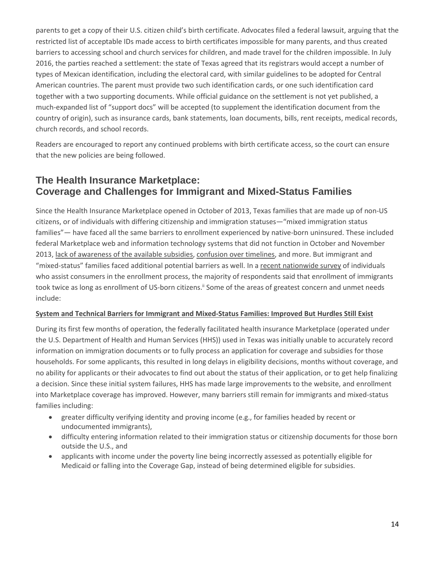parents to get a copy of their U.S. citizen child's birth certificate. Advocates filed a federal lawsuit, arguing that the restricted list of acceptable IDs made access to birth certificates impossible for many parents, and thus created barriers to accessing school and church services for children, and made travel for the children impossible. In July 2016, the parties reached a settlement: the state of Texas agreed that its registrars would accept a number of types of Mexican identification, including the electoral card, with similar guidelines to be adopted for Central American countries. The parent must provide two such identification cards, or one such identification card together with a two supporting documents. While official guidance on the settlement is not yet published, a much-expanded list of "support docs" will be accepted (to supplement the identification document from the country of origin), such as insurance cards, bank statements, loan documents, bills, rent receipts, medical records, church records, and school records.

Readers are encouraged to report any continued problems with birth certificate access, so the court can ensure that the new policies are being followed.

## **The Health Insurance Marketplace: Coverage and Challenges for Immigrant and Mixed-Status Families**

Since the Health Insurance Marketplace opened in October of 2013, Texas families that are made up of non-US citizens, or of individuals with differing citizenship and immigration statuses—"mixed immigration status families"— have faced all the same barriers to enrollment experienced by native-born uninsured. These included federal Marketplace web and information technology systems that did not function in October and November 2013, [lack of awareness of the available subsidies,](http://hrms.urban.org/briefs/A-Look-at-Remaining-Uninsured-Adults-as-of-March-2015.html) [confusion over timelines,](http://kff.org/health-reform/poll-finding/kaiser-health-tracking-poll-january-2016/) and more. But immigrant and "mixed-status" families faced additional potential barriers as well. In a [recent nationwide](http://ccf.georgetown.edu/ccf-resources/getting-enrollment-right-immigrant-families/) survey of individuals who assist consumers in the enrollment process, the majority of respondents said that enrollment of immigrants took twice as long as enrollment of US-born citizens.<sup>||</sup> Some of the areas of greatest concern and unmet needs include:

#### **System and Technical Barriers for Immigrant and Mixed-Status Families: Improved But Hurdles Still Exist**

During its first few months of operation, the federally facilitated health insurance Marketplace (operated under the U.S. Department of Health and Human Services (HHS)) used in Texas was initially unable to accurately record information on immigration documents or to fully process an application for coverage and subsidies for those households. For some applicants, this resulted in long delays in eligibility decisions, months without coverage, and no ability for applicants or their advocates to find out about the status of their application, or to get help finalizing a decision. Since these initial system failures, HHS has made large improvements to the website, and enrollment into Marketplace coverage has improved. However, many barriers still remain for immigrants and mixed-status families including:

- greater difficulty verifying identity and proving income (e.g., for families headed by recent or undocumented immigrants),
- difficulty entering information related to their immigration status or citizenship documents for those born outside the U.S., and
- applicants with income under the poverty line being incorrectly assessed as potentially eligible for Medicaid or falling into the Coverage Gap, instead of being determined eligible for subsidies.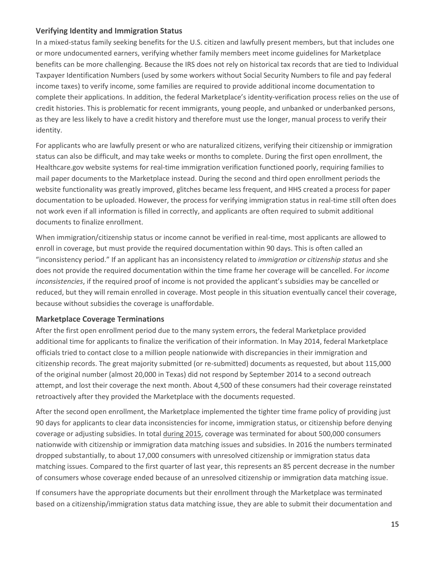#### **Verifying Identity and Immigration Status**

In a mixed-status family seeking benefits for the U.S. citizen and lawfully present members, but that includes one or more undocumented earners, verifying whether family members meet income guidelines for Marketplace benefits can be more challenging. Because the IRS does not rely on historical tax records that are tied to Individual Taxpayer Identification Numbers (used by some workers without Social Security Numbers to file and pay federal income taxes) to verify income, some families are required to provide additional income documentation to complete their applications. In addition, the federal Marketplace's identity-verification process relies on the use of credit histories. This is problematic for recent immigrants, young people, and unbanked or underbanked persons, as they are less likely to have a credit history and therefore must use the longer, manual process to verify their identity.

For applicants who are lawfully present or who are naturalized citizens, verifying their citizenship or immigration status can also be difficult, and may take weeks or months to complete. During the first open enrollment, the Healthcare.gov website systems for real-time immigration verification functioned poorly, requiring families to mail paper documents to the Marketplace instead. During the second and third open enrollment periods the website functionality was greatly improved, glitches became less frequent, and HHS created a process for paper documentation to be uploaded. However, the process for verifying immigration status in real-time still often does not work even if all information is filled in correctly, and applicants are often required to submit additional documents to finalize enrollment.

When immigration/citizenship status or income cannot be verified in real-time, most applicants are allowed to enroll in coverage, but must provide the required documentation within 90 days. This is often called an "inconsistency period." If an applicant has an inconsistency related to *immigration or citizenship status* and she does not provide the required documentation within the time frame her coverage will be cancelled. For *income inconsistencies*, if the required proof of income is not provided the applicant's subsidies may be cancelled or reduced, but they will remain enrolled in coverage. Most people in this situation eventually cancel their coverage, because without subsidies the coverage is unaffordable.

#### **Marketplace Coverage Terminations**

After the first open enrollment period due to the many system errors, the federal Marketplace provided additional time for applicants to finalize the verification of their information. In May 2014, federal Marketplace officials tried to contact close to a million people nationwide with discrepancies in their immigration and citizenship records. The great majority submitted (or re-submitted) documents as requested, but about 115,000 of the original number (almost 20,000 in Texas) did not respond by September 2014 to a second outreach attempt, and lost their coverage the next month. About 4,500 of these consumers had their coverage reinstated retroactively after they provided the Marketplace with the documents requested.

After the second open enrollment, the Marketplace implemented the tighter time frame policy of providing just 90 days for applicants to clear data inconsistencies for income, immigration status, or citizenship before denying coverage or adjusting subsidies. In tota[l during 2015,](https://www.cms.gov/Newsroom/MediaReleaseDatabase/Fact-sheets/2016-Fact-sheets-items/2016-03-11.html?DLPage=1&DLEntries=10&DLSort=0&DLSortDir=descending) coverage was terminated for about 500,000 consumers nationwide with citizenship or immigration data matching issues and subsidies. In 2016 the numbers terminated dropped substantially, to about 17,000 consumers with unresolved citizenship or immigration status data matching issues. Compared to the first quarter of last year, this represents an 85 percent decrease in the number of consumers whose coverage ended because of an unresolved citizenship or immigration data matching issue.

If consumers have the appropriate documents but their enrollment through the Marketplace was terminated based on a citizenship/immigration status data matching issue, they are able to submit their documentation and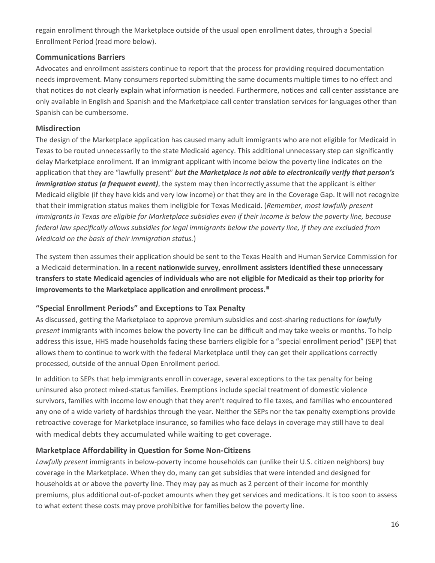regain enrollment through the Marketplace outside of the usual open enrollment dates, through a Special Enrollment Period (read more below).

#### **Communications Barriers**

Advocates and enrollment assisters continue to report that the process for providing required documentation needs improvement. Many consumers reported submitting the same documents multiple times to no effect and that notices do not clearly explain what information is needed. Furthermore, notices and call center assistance are only available in English and Spanish and the Marketplace call center translation services for languages other than Spanish can be cumbersome.

#### **Misdirection**

The design of the Marketplace application has caused many adult immigrants who are not eligible for Medicaid in Texas to be routed unnecessarily to the state Medicaid agency. This additional unnecessary step can significantly delay Marketplace enrollment. If an immigrant applicant with income below the poverty line indicates on the application that they are "lawfully present" *but the Marketplace is not able to electronically verify that person's immigration status (a frequent event)*, the system may then incorrectly assume that the applicant is either Medicaid eligible (if they have kids and very low income) or that they are in the Coverage Gap. It will not recognize that their immigration status makes them ineligible for Texas Medicaid. (*Remember, most lawfully present immigrants in Texas are eligible for Marketplace subsidies even if their income is below the poverty line, because federal law specifically allows subsidies for legal immigrants below the poverty line, if they are excluded from Medicaid on the basis of their immigration status.*)

The system then assumes their application should be sent to the Texas Health and Human Service Commission for a Medicaid determination. **In [a recent nationwide survey,](http://ccf.georgetown.edu/ccf-resources/getting-enrollment-right-immigrant-families/) enrollment assisters identified these unnecessary transfers to state Medicaid agencies of individuals who are not eligible for Medicaid as their top priority for improvements to the Marketplace application and enrollment process. iii**

#### **"Special Enrollment Periods" and Exceptions to Tax Penalty**

As discussed, getting the Marketplace to approve premium subsidies and cost-sharing reductions for *lawfully present* immigrants with incomes below the poverty line can be difficult and may take weeks or months. To help address this issue, HHS made households facing these barriers eligible for a "special enrollment period" (SEP) that allows them to continue to work with the federal Marketplace until they can get their applications correctly processed, outside of the annual Open Enrollment period.

In addition to SEPs that help immigrants enroll in coverage, several exceptions to the tax penalty for being uninsured also protect mixed-status families. Exemptions include special treatment of domestic violence survivors, families with income low enough that they aren't required to file taxes, and families who encountered any one of a wide variety of hardships through the year. Neither the SEPs nor the tax penalty exemptions provide retroactive coverage for Marketplace insurance, so families who face delays in coverage may still have to deal with medical debts they accumulated while waiting to get coverage.

#### **Marketplace Affordability in Question for Some Non-Citizens**

*Lawfully present* immigrants in below-poverty income households can (unlike their U.S. citizen neighbors) buy coverage in the Marketplace. When they do, many can get subsidies that were intended and designed for households at or above the poverty line. They may pay as much as 2 percent of their income for monthly premiums, plus additional out-of-pocket amounts when they get services and medications. It is too soon to assess to what extent these costs may prove prohibitive for families below the poverty line.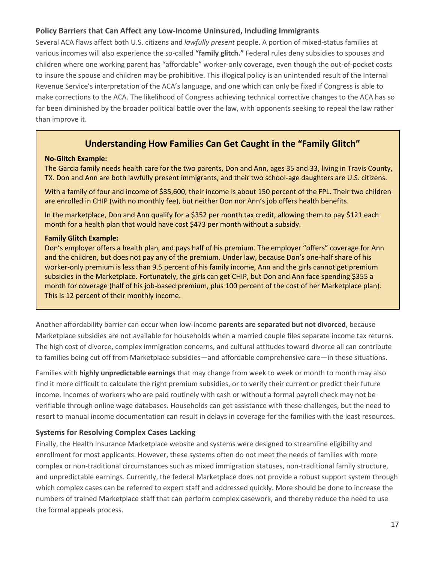#### **Policy Barriers that Can Affect any Low-Income Uninsured, Including Immigrants**

Several ACA flaws affect both U.S. citizens and *lawfully present* people. A portion of mixed-status families at various incomes will also experience the so-called **"family glitch."** Federal rules deny subsidies to spouses and children where one working parent has "affordable" worker-only coverage, even though the out-of-pocket costs to insure the spouse and children may be prohibitive. This illogical policy is an unintended result of the Internal Revenue Service's interpretation of the ACA's language, and one which can only be fixed if Congress is able to make corrections to the ACA. The likelihood of Congress achieving technical corrective changes to the ACA has so far been diminished by the broader political battle over the law, with opponents seeking to repeal the law rather than improve it.

## **Understanding How Families Can Get Caught in the "Family Glitch"**

#### **No-Glitch Example:**

The Garcia family needs health care for the two parents, Don and Ann, ages 35 and 33, living in Travis County, TX. Don and Ann are both lawfully present immigrants, and their two school-age daughters are U.S. citizens.

With a family of four and income of \$35,600, their income is about 150 percent of the FPL. Their two children are enrolled in CHIP (with no monthly fee), but neither Don nor Ann's job offers health benefits.

In the marketplace, Don and Ann qualify for a \$352 per month tax credit, allowing them to pay \$121 each month for a health plan that would have cost \$473 per month without a subsidy.

#### **Family Glitch Example:**

Don's employer offers a health plan, and pays half of his premium. The employer "offers" coverage for Ann and the children, but does not pay any of the premium. Under law, because Don's one-half share of his worker-only premium is less than 9.5 percent of his family income, Ann and the girls cannot get premium subsidies in the Marketplace. Fortunately, the girls can get CHIP, but Don and Ann face spending \$355 a month for coverage (half of his job-based premium, plus 100 percent of the cost of her Marketplace plan). This is 12 percent of their monthly income.

Another affordability barrier can occur when low-income **parents are separated but not divorced**, because Marketplace subsidies are not available for households when a married couple files separate income tax returns. The high cost of divorce, complex immigration concerns, and cultural attitudes toward divorce all can contribute to families being cut off from Marketplace subsidies—and affordable comprehensive care—in these situations.

Families with **highly unpredictable earnings** that may change from week to week or month to month may also find it more difficult to calculate the right premium subsidies, or to verify their current or predict their future income. Incomes of workers who are paid routinely with cash or without a formal payroll check may not be verifiable through online wage databases. Households can get assistance with these challenges, but the need to resort to manual income documentation can result in delays in coverage for the families with the least resources.

#### **Systems for Resolving Complex Cases Lacking**

Finally, the Health Insurance Marketplace website and systems were designed to streamline eligibility and enrollment for most applicants. However, these systems often do not meet the needs of families with more complex or non-traditional circumstances such as mixed immigration statuses, non-traditional family structure, and unpredictable earnings. Currently, the federal Marketplace does not provide a robust support system through which complex cases can be referred to expert staff and addressed quickly. More should be done to increase the numbers of trained Marketplace staff that can perform complex casework, and thereby reduce the need to use the formal appeals process.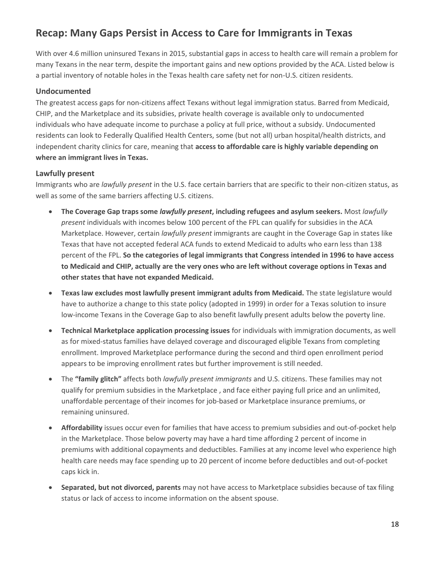## **Recap: Many Gaps Persist in Access to Care for Immigrants in Texas**

With over 4.6 million uninsured Texans in 2015, substantial gaps in access to health care will remain a problem for many Texans in the near term, despite the important gains and new options provided by the ACA. Listed below is a partial inventory of notable holes in the Texas health care safety net for non-U.S. citizen residents.

#### **Undocumented**

The greatest access gaps for non-citizens affect Texans without legal immigration status. Barred from Medicaid, CHIP, and the Marketplace and its subsidies, private health coverage is available only to undocumented individuals who have adequate income to purchase a policy at full price, without a subsidy. Undocumented residents can look to Federally Qualified Health Centers, some (but not all) urban hospital/health districts, and independent charity clinics for care, meaning that **access to affordable care is highly variable depending on where an immigrant lives in Texas.**

#### **Lawfully present**

Immigrants who are *lawfully present* in the U.S. face certain barriers that are specific to their non-citizen status, as well as some of the same barriers affecting U.S. citizens.

- **The Coverage Gap traps some** *lawfully present***, including refugees and asylum seekers.** Most *lawfully present* individuals with incomes below 100 percent of the FPL can qualify for subsidies in the ACA Marketplace. However, certain *lawfully present* immigrants are caught in the Coverage Gap in states like Texas that have not accepted federal ACA funds to extend Medicaid to adults who earn less than 138 percent of the FPL. **So the categories of legal immigrants that Congress intended in 1996 to have access to Medicaid and CHIP, actually are the very ones who are left without coverage options in Texas and other states that have not expanded Medicaid.**
- **Texas law excludes most lawfully present immigrant adults from Medicaid.** The state legislature would have to authorize a change to this state policy (adopted in 1999) in order for a Texas solution to insure low-income Texans in the Coverage Gap to also benefit lawfully present adults below the poverty line.
- **Technical Marketplace application processing issues** for individuals with immigration documents, as well as for mixed-status families have delayed coverage and discouraged eligible Texans from completing enrollment. Improved Marketplace performance during the second and third open enrollment period appears to be improving enrollment rates but further improvement is still needed.
- The **"family glitch"** affects both *lawfully present immigrants* and U.S. citizens. These families may not qualify for premium subsidies in the Marketplace , and face either paying full price and an unlimited, unaffordable percentage of their incomes for job-based or Marketplace insurance premiums, or remaining uninsured.
- **Affordability** issues occur even for families that have access to premium subsidies and out-of-pocket help in the Marketplace. Those below poverty may have a hard time affording 2 percent of income in premiums with additional copayments and deductibles. Families at any income level who experience high health care needs may face spending up to 20 percent of income before deductibles and out-of-pocket caps kick in.
- **Separated, but not divorced, parents** may not have access to Marketplace subsidies because of tax filing status or lack of access to income information on the absent spouse.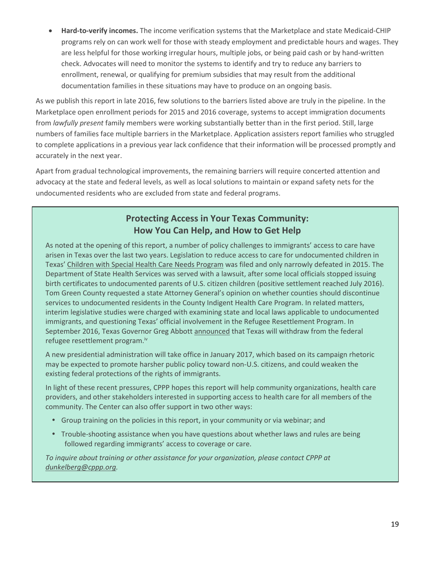**Hard-to-verify incomes.** The income verification systems that the Marketplace and state Medicaid-CHIP programs rely on can work well for those with steady employment and predictable hours and wages. They are less helpful for those working irregular hours, multiple jobs, or being paid cash or by hand-written check. Advocates will need to monitor the systems to identify and try to reduce any barriers to enrollment, renewal, or qualifying for premium subsidies that may result from the additional documentation families in these situations may have to produce on an ongoing basis.

As we publish this report in late 2016, few solutions to the barriers listed above are truly in the pipeline. In the Marketplace open enrollment periods for 2015 and 2016 coverage, systems to accept immigration documents from *lawfully present* family members were working substantially better than in the first period. Still, large numbers of families face multiple barriers in the Marketplace. Application assisters report families who struggled to complete applications in a previous year lack confidence that their information will be processed promptly and accurately in the next year.

Apart from gradual technological improvements, the remaining barriers will require concerted attention and advocacy at the state and federal levels, as well as local solutions to maintain or expand safety nets for the undocumented residents who are excluded from state and federal programs.

## **Protecting Access in Your Texas Community: How You Can Help, and How to Get Help**

As noted at the opening of this report, a number of policy challenges to immigrants' access to care have arisen in Texas over the last two years. Legislation to reduce access to care for undocumented children in Texas' [Children with Special Health Care Needs Program](https://www.dshs.texas.gov/cshcn/) was filed and only narrowly defeated in 2015. The Department of State Health Services was served with a lawsuit, after some local officials stopped issuing birth certificates to undocumented parents of U.S. citizen children (positive settlement reached July 2016). Tom Green County requested a state Attorney General's opinion on whether counties should discontinue services to undocumented residents in the County Indigent Health Care Program. In related matters, interim legislative studies were charged with examining state and local laws applicable to undocumented immigrants, and questioning Texas' official involvement in the Refugee Resettlement Program. In September 2016, Texas Governor Greg Abbott [announced](http://gov.texas.gov/files/press-office/RefugeeResettlementLetter_09212016.pdf) that Texas will withdraw from the federal refugee resettlement program.iv

A new presidential administration will take office in January 2017, which based on its campaign rhetoric may be expected to promote harsher public policy toward non-U.S. citizens, and could weaken the existing federal protections of the rights of immigrants.

In light of these recent pressures, CPPP hopes this report will help community organizations, health care providers, and other stakeholders interested in supporting access to health care for all members of the community. The Center can also offer support in two other ways:

- Group training on the policies in this report, in your community or via webinar; and
- Trouble-shooting assistance when you have questions about whether laws and rules are being followed regarding immigrants' access to coverage or care.

*To inquire about training or other assistance for your organization, please contact CPPP at [dunkelberg@cppp.org.](mailto:dunkelberg@cppp.org)*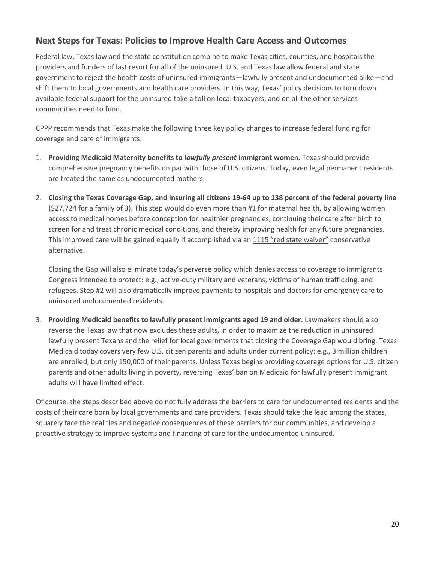## **Next Steps for Texas: Policies to Improve Health Care Access and Outcomes**

Federal law, Texas law and the state constitution combine to make Texas cities, counties, and hospitals the providers and funders of last resort for all of the uninsured. U.S. and Texas law allow federal and state government to reject the health costs of uninsured immigrants—lawfully present and undocumented alike—and shift them to local governments and health care providers. In this way, Texas' policy decisions to turn down available federal support for the uninsured take a toll on local taxpayers, and on all the other services communities need to fund.

CPPP recommends that Texas make the following three key policy changes to increase federal funding for coverage and care of immigrants:

- 1. **Providing Medicaid Maternity benefits to** *lawfully present* **immigrant women.** Texas should provide comprehensive pregnancy benefits on par with those of U.S. citizens. Today, even legal permanent residents are treated the same as undocumented mothers.
- 2. **Closing the Texas Coverage Gap, and insuring all citizens 19-64 up to 138 percent of the federal poverty line**  (\$27,724 for a family of 3). This step would do even more than #1 for maternal health, by allowing women access to medical homes before conception for healthier pregnancies, continuing their care after birth to screen for and treat chronic medical conditions, and thereby improving health for any future pregnancies. This improved care will be gained equally if accomplished via an [1115 "red state waiver"](http://www.commonwealthfund.org/publications/issue-briefs/2016/may/how-will-section-1115-medicaid-expansion-demonstrations-inform-federal-policy) conservative alternative.

Closing the Gap will also eliminate today's perverse policy which denies access to coverage to immigrants Congress intended to protect: e.g., active-duty military and veterans, victims of human trafficking, and refugees. Step #2 will also dramatically improve payments to hospitals and doctors for emergency care to uninsured undocumented residents.

3. **Providing Medicaid benefits to lawfully present immigrants aged 19 and older.** Lawmakers should also reverse the Texas law that now excludes these adults, in order to maximize the reduction in uninsured lawfully present Texans and the relief for local governments that closing the Coverage Gap would bring. Texas Medicaid today covers very few U.S. citizen parents and adults under current policy: e.g., 3 million children are enrolled, but only 150,000 of their parents. Unless Texas begins providing coverage options for U.S. citizen parents and other adults living in poverty, reversing Texas' ban on Medicaid for lawfully present immigrant adults will have limited effect.

Of course, the steps described above do not fully address the barriers to care for undocumented residents and the costs of their care born by local governments and care providers. Texas should take the lead among the states, squarely face the realities and negative consequences of these barriers for our communities, and develop a proactive strategy to improve systems and financing of care for the undocumented uninsured.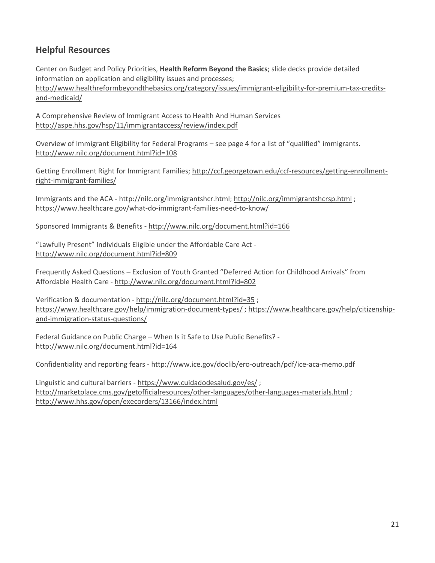## **Helpful Resources**

Center on Budget and Policy Priorities, **Health Reform Beyond the Basics**; slide decks provide detailed information on application and eligibility issues and processes; [http://www.healthreformbeyondthebasics.org/category/issues/immigrant-eligibility-for-premium-tax-credits](http://www.healthreformbeyondthebasics.org/category/issues/immigrant-eligibility-for-premium-tax-credits-and-medicaid/)[and-medicaid/](http://www.healthreformbeyondthebasics.org/category/issues/immigrant-eligibility-for-premium-tax-credits-and-medicaid/)

A Comprehensive Review of Immigrant Access to Health And Human Services <http://aspe.hhs.gov/hsp/11/immigrantaccess/review/index.pdf>

Overview of Immigrant Eligibility for Federal Programs – see page 4 for a list of "qualified" immigrants. <http://www.nilc.org/document.html?id=108>

Getting Enrollment Right for Immigrant Families; [http://ccf.georgetown.edu/ccf-resources/getting-enrollment](http://ccf.georgetown.edu/ccf-resources/getting-enrollment-right-immigrant-families/)[right-immigrant-families/](http://ccf.georgetown.edu/ccf-resources/getting-enrollment-right-immigrant-families/)

Immigrants and the ACA - http://nilc.org/immigrantshcr.html;<http://nilc.org/immigrantshcrsp.html>; <https://www.healthcare.gov/what-do-immigrant-families-need-to-know/>

Sponsored Immigrants & Benefits - <http://www.nilc.org/document.html?id=166>

"Lawfully Present" Individuals Eligible under the Affordable Care Act <http://www.nilc.org/document.html?id=809>

Frequently Asked Questions – Exclusion of Youth Granted "Deferred Action for Childhood Arrivals" from Affordable Health Care - <http://www.nilc.org/document.html?id=802>

Verification & documentation - <http://nilc.org/document.html?id=35> ; <https://www.healthcare.gov/help/immigration-document-types/> [; https://www.healthcare.gov/help/citizenship](https://www.healthcare.gov/help/citizenship-and-immigration-status-questions/)[and-immigration-status-questions/](https://www.healthcare.gov/help/citizenship-and-immigration-status-questions/)

Federal Guidance on Public Charge – When Is it Safe to Use Public Benefits? <http://www.nilc.org/document.html?id=164>

Confidentiality and reporting fears - <http://www.ice.gov/doclib/ero-outreach/pdf/ice-aca-memo.pdf>

Linguistic and cultural barriers - <https://www.cuidadodesalud.gov/es/> ; <http://marketplace.cms.gov/getofficialresources/other-languages/other-languages-materials.html> ; <http://www.hhs.gov/open/execorders/13166/index.html>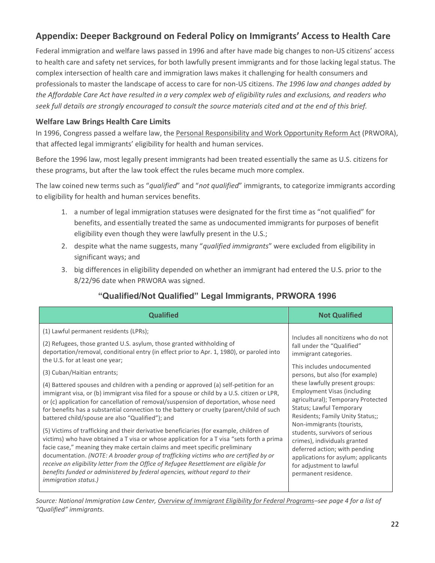## **Appendix: Deeper Background on Federal Policy on Immigrants' Access to Health Care**

Federal immigration and welfare laws passed in 1996 and after have made big changes to non-US citizens' access to health care and safety net services, for both lawfully present immigrants and for those lacking legal status. The complex intersection of health care and immigration laws makes it challenging for health consumers and professionals to master the landscape of access to care for non-US citizens. *The 1996 law and changes added by the Affordable Care Act have resulted in a very complex web of eligibility rules and exclusions, and readers who seek full details are strongly encouraged to consult the source materials cited and at the end of this brief.*

#### **Welfare Law Brings Health Care Limits**

In 1996, Congress passed a welfare law, the Personal Responsibility and Work Opportunity Reform Act (PRWORA), that affected legal immigrants' eligibility for health and human services.

Before the 1996 law, most legally present immigrants had been treated essentially the same as U.S. citizens for these programs, but after the law took effect the rules became much more complex.

The law coined new terms such as "*qualified*" and "*not qualified*" immigrants, to categorize immigrants according to eligibility for health and human services benefits.

- 1. a number of legal immigration statuses were designated for the first time as "not qualified" for benefits, and essentially treated the same as undocumented immigrants for purposes of benefit eligibility even though they were lawfully present in the U.S.;
- 2. despite what the name suggests, many "*qualified immigrants*" were excluded from eligibility in significant ways; and
- 3. big differences in eligibility depended on whether an immigrant had entered the U.S. prior to the 8/22/96 date when PRWORA was signed.

| <b>Qualified</b>                                                                            | <b>Not Qualified</b>                |
|---------------------------------------------------------------------------------------------|-------------------------------------|
| (1) Lawful permanent residents (LPRs);                                                      | Includes all noncitizens who do not |
| (2) Refugees, those granted U.S. asylum, those granted withholding of                       | fall under the "Qualified"          |
| deportation/removal, conditional entry (in effect prior to Apr. 1, 1980), or paroled into   | immigrant categories.               |
| the U.S. for at least one year;                                                             | This includes undocumented          |
| (3) Cuban/Haitian entrants;                                                                 | persons, but also (for example)     |
| (4) Battered spouses and children with a pending or approved (a) self-petition for an       | these lawfully present groups:      |
| immigrant visa, or (b) immigrant visa filed for a spouse or child by a U.S. citizen or LPR, | <b>Employment Visas (including</b>  |
| or (c) application for cancellation of removal/suspension of deportation, whose need        | agricultural); Temporary Protected  |
| for benefits has a substantial connection to the battery or cruelty (parent/child of such   | <b>Status; Lawful Temporary</b>     |
| battered child/spouse are also "Qualified"); and                                            | Residents; Family Unity Status;;    |
| (5) Victims of trafficking and their derivative beneficiaries (for example, children of     | Non-immigrants (tourists,           |
| victims) who have obtained a T visa or whose application for a T visa "sets forth a prima   | students, survivors of serious      |
| facie case," meaning they make certain claims and meet specific preliminary                 | crimes), individuals granted        |
| documentation. (NOTE: A broader group of trafficking victims who are certified by or        | deferred action; with pending       |
| receive an eligibility letter from the Office of Refugee Resettlement are eligible for      | applications for asylum; applicants |
| benefits funded or administered by federal agencies, without regard to their                | for adjustment to lawful            |
| <i>immigration status.)</i>                                                                 | permanent residence.                |

## **"Qualified/Not Qualified" Legal Immigrants, PRWORA 1996**

*Source: National Immigration Law Center, [Overview of Immigrant Eligibility for Federal Programs](http://www.nilc.org/document.html?id=108)–see page 4 for a list of "Qualified" immigrants.*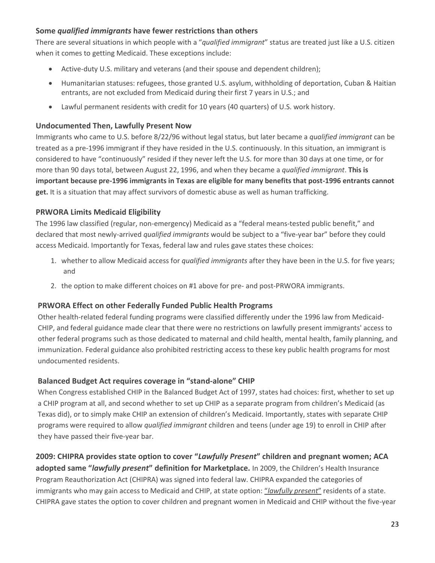#### **Some** *qualified immigrants* **have fewer restrictions than others**

There are several situations in which people with a "*qualified immigrant*" status are treated just like a U.S. citizen when it comes to getting Medicaid. These exceptions include:

- Active-duty U.S. military and veterans (and their spouse and dependent children);
- Humanitarian statuses: refugees, those granted U.S. asylum, withholding of deportation, Cuban & Haitian entrants, are not excluded from Medicaid during their first 7 years in U.S.; and
- Lawful permanent residents with credit for 10 years (40 quarters) of U.S. work history.

#### **Undocumented Then, Lawfully Present Now**

Immigrants who came to U.S. before 8/22/96 without legal status, but later became a *qualified immigrant* can be treated as a pre-1996 immigrant if they have resided in the U.S. continuously. In this situation, an immigrant is considered to have "continuously" resided if they never left the U.S. for more than 30 days at one time, or for more than 90 days total, between August 22, 1996, and when they became a *qualified immigrant*. **This is important because pre-1996 immigrants in Texas are eligible for many benefits that post-1996 entrants cannot get.** It is a situation that may affect survivors of domestic abuse as well as human trafficking.

#### **PRWORA Limits Medicaid Eligibility**

The 1996 law classified (regular, non-emergency) Medicaid as a "federal means-tested public benefit," and declared that most newly-arrived *qualified immigrants* would be subject to a "five-year bar" before they could access Medicaid. Importantly for Texas, federal law and rules gave states these choices:

- 1. whether to allow Medicaid access for *qualified immigrants* after they have been in the U.S. for five years; and
- 2. the option to make different choices on #1 above for pre- and post-PRWORA immigrants.

#### **PRWORA Effect on other Federally Funded Public Health Programs**

Other health-related federal funding programs were classified differently under the 1996 law from Medicaid-CHIP, and federal guidance made clear that there were no restrictions on lawfully present immigrants' access to other federal programs such as those dedicated to maternal and child health, mental health, family planning, and immunization. Federal guidance also prohibited restricting access to these key public health programs for most undocumented residents.

#### **Balanced Budget Act requires coverage in "stand-alone" CHIP**

When Congress established CHIP in the Balanced Budget Act of 1997, states had choices: first, whether to set up a CHIP program at all, and second whether to set up CHIP as a separate program from children's Medicaid (as Texas did), or to simply make CHIP an extension of children's Medicaid. Importantly, states with separate CHIP programs were required to allow *qualified immigrant* children and teens (under age 19) to enroll in CHIP after they have passed their five-year bar.

#### **2009: CHIPRA provides state option to cover "***Lawfully Present***" children and pregnant women; ACA**

**adopted same "***lawfully present***" definition for Marketplace.** In 2009, the Children's Health Insurance Program Reauthorization Act (CHIPRA) was signed into federal law. CHIPRA expanded the categories of immigrants who may gain access to Medicaid and CHIP, at state option: "*[lawfully present](http://www.nilc.org/lawfullyresiding.html)*" residents of a state. CHIPRA gave states the option to cover children and pregnant women in Medicaid and CHIP without the five-year